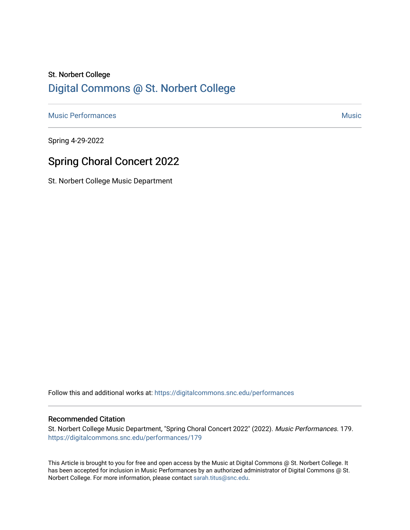# St. Norbert College [Digital Commons @ St. Norbert College](https://digitalcommons.snc.edu/)

[Music Performances](https://digitalcommons.snc.edu/performances) and the contract of the contract of the contract of the contract of the contract of the contract of the contract of the contract of the contract of the contract of the contract of the contract of the con

Spring 4-29-2022

# Spring Choral Concert 2022

St. Norbert College Music Department

Follow this and additional works at: [https://digitalcommons.snc.edu/performances](https://digitalcommons.snc.edu/performances?utm_source=digitalcommons.snc.edu%2Fperformances%2F179&utm_medium=PDF&utm_campaign=PDFCoverPages)

#### Recommended Citation

St. Norbert College Music Department, "Spring Choral Concert 2022" (2022). Music Performances. 179. [https://digitalcommons.snc.edu/performances/179](https://digitalcommons.snc.edu/performances/179?utm_source=digitalcommons.snc.edu%2Fperformances%2F179&utm_medium=PDF&utm_campaign=PDFCoverPages) 

This Article is brought to you for free and open access by the Music at Digital Commons @ St. Norbert College. It has been accepted for inclusion in Music Performances by an authorized administrator of Digital Commons @ St. Norbert College. For more information, please contact [sarah.titus@snc.edu](mailto:sarah.titus@snc.edu).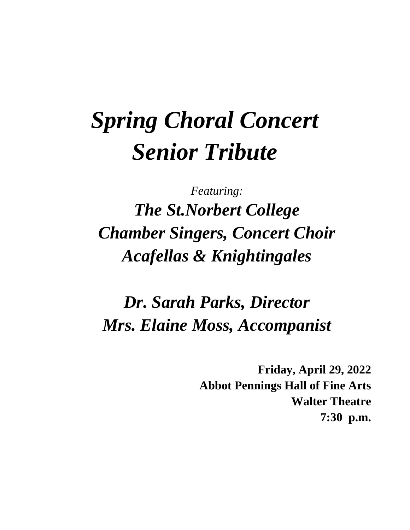# *Spring Choral Concert Senior Tribute*

*Featuring: The St.Norbert College Chamber Singers, Concert Choir Acafellas & Knightingales*

*Dr. Sarah Parks, Director Mrs. Elaine Moss, Accompanist*

> **Friday, April 29, 2022 Abbot Pennings Hall of Fine Arts Walter Theatre 7:30 p.m.**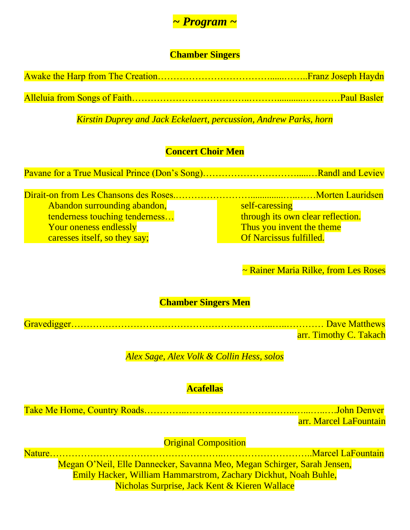

# **Chamber Singers**

*Kirstin Duprey and Jack Eckelaert, percussion, Andrew Parks, horn*

# **Concert Choir Men**

Pavane for a True Musical Prince (Don's Song)………………………….....…Randl and Leviev

Dirait-on from Les Chansons des Roses.……………………..............…..……Morten Lauridsen Abandon surrounding abandon, tenderness touching tenderness… Your oneness endlessly caresses itself, so they say;

self-caressing through its own clear reflection. Thus you invent the theme Of Narcissus fulfilled.

~ Rainer Maria Rilke, from Les Roses

# **Chamber Singers Men**

| arr. Timothy C. Takach |  |
|------------------------|--|

# *Alex Sage, Alex Volk & Collin Hess, solos*

# **Acafellas**

Take Me Home, Country Roads…………..……………………………..…...…..….John Denver

arr. Marcel LaFountain

**Original Composition** 

Nature………………………………………………..………………………..Marcel LaFountain

Megan O'Neil, Elle Dannecker, Savanna Meo, Megan Schirger, Sarah Jensen, Emily Hacker, William Hammarstrom, Zachary Dickhut, Noah Buhle, Nicholas Surprise, Jack Kent & Kieren Wallace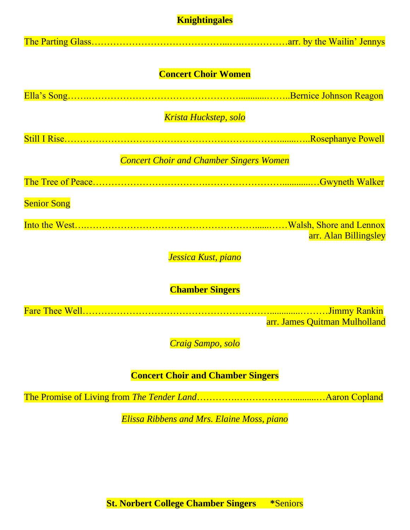# **Knightingales**

| <b>Concert Choir Women</b>                     |
|------------------------------------------------|
|                                                |
| Krista Huckstep, solo                          |
|                                                |
| <b>Concert Choir and Chamber Singers Women</b> |
|                                                |
| <b>Senior Song</b>                             |
|                                                |
| arr. Alan Billingsley                          |
| Jessica Kust, piano                            |
| <b>Chamber Singers</b>                         |
|                                                |
| arr. James Quitman Mulholland                  |
| Craig Sampo, solo                              |
| <b>Concert Choir and Chamber Singers</b>       |
|                                                |

*Elissa Ribbens and Mrs. Elaine Moss, piano*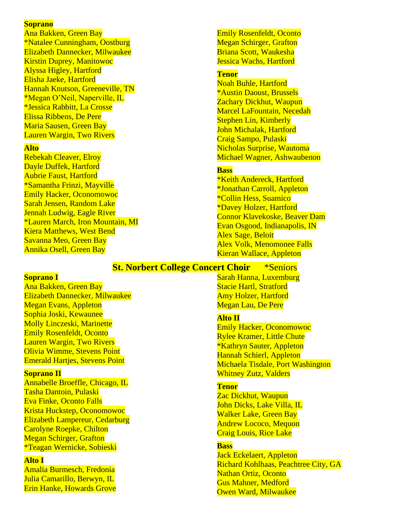#### **Soprano**

Ana Bakken, Green Bay \*Natalee Cunningham, Oostburg Elizabeth Dannecker, Milwaukee Kirstin Duprey, Manitowoc Alyssa Higley, Hartford Elisha Jaeke, Hartford Hannah Knutson, Greeneville, TN \*Megan O'Neil, Naperville, IL \*Jessica Rabbitt, La Crosse Elissa Ribbens, De Pere Maria Sausen, Green Bay Lauren Wargin, Two Rivers

#### **Alto**

Rebekah Cleaver, Elroy Dayle Duffek, Hartford Aubrie Faust, Hartford \*Samantha Frinzi, Mayville Emily Hacker, Oconomowoc Sarah Jensen, Random Lake Jennah Ludwig, Eagle River \*Lauren March, Iron Mountain, MI Kiera Matthews, West Bend Savanna Meo, Green Bay Annika Osell, Green Bay

Emily Rosenfeldt, Oconto Megan Schirger, Grafton Briana Scott, Waukesha Jessica Wachs, Hartford

#### **Tenor**

Noah Buhle, Hartford \*Austin Daoust, Brussels Zachary Dickhut, Waupun Marcel LaFountain, Necedah Stephen Lin, Kimberly John Michalak, Hartford Craig Sampo, Pulaski Nicholas Surprise, Wautoma Michael Wagner, Ashwaubenon

#### **Bass**

\*Keith Andereck, Hartford \*Jonathan Carroll, Appleton \*Collin Hess, Suamico \*Davey Holzer, Hartford Connor Klavekoske, Beaver Dam Evan Osgood, Indianapolis, IN Alex Sage, Beloit Alex Volk, Menomonee Falls Kieran Wallace, Appleton

#### **St. Norbert College Concert Choir** \*Seniors

#### **Soprano I**

Ana Bakken, Green Bay Elizabeth Dannecker, Milwaukee Megan Evans, Appleton Sophia Joski, Kewaunee Molly Linczeski, Marinette Emily Rosenfeldt, Oconto Lauren Wargin, Two Rivers Olivia Wimme, Stevens Point Emerald Hartjes, Stevens Point

#### **Soprano II**

Annabelle Broeffle, Chicago, IL Tasha Dantoin, Pulaski Eva Finke, Oconto Falls Krista Huckstep, Oconomowoc Elizabeth Lampereur, Cedarburg Carolyne Roepke, Chilton Megan Schirger, Grafton \*Teagan Wernicke, Sobieski

#### **Alto I**

Amalia Burmesch, Fredonia Julia Camarillo, Berwyn, IL Erin Hanke, Howards Grove Sarah Hanna, Luxemburg Stacie Hartl, Stratford Amy Holzer, Hartford Megan Lau, De Pere

#### **Alto II**

Emily Hacker, Oconomowoc Rylee Kramer, Little Chute \*Kathryn Sauter, Appleton Hannah Schierl, Appleton Michaela Tisdale, Port Washington Whitney Zutz, Valders

#### **Tenor**

Zac Dickhut, Waupun John Dicks, Lake Villa, IL Walker Lake, Green Bay Andrew Lococo, Mequon Craig Louis, Rice Lake

#### **Bass**

Jack Eckelaert, Appleton Richard Kohlhaas, Peachtree City, GA Nathan Ortiz, Oconto Gus Mahner, Medford Owen Ward, Milwaukee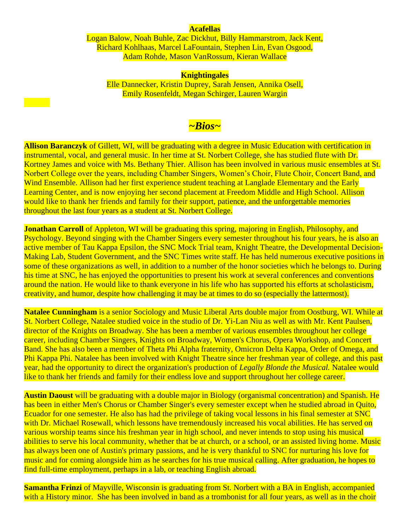#### **Acafellas**

Logan Balow, Noah Buhle, Zac Dickhut, Billy Hammarstrom, Jack Kent, Richard Kohlhaas, Marcel LaFountain, Stephen Lin, Evan Osgood, Adam Rohde, Mason VanRossum, Kieran Wallace

#### **Knightingales**

Elle Dannecker, Kristin Duprey, Sarah Jensen, Annika Osell, Emily Rosenfeldt, Megan Schirger, Lauren Wargin

# *~Bios~*

**Allison Baranczyk** of Gillett, WI, will be graduating with a degree in Music Education with certification in instrumental, vocal, and general music. In her time at St. Norbert College, she has studied flute with Dr. Kortney James and voice with Ms. Bethany Thier. Allison has been involved in various music ensembles at St. Norbert College over the years, including Chamber Singers, Women's Choir, Flute Choir, Concert Band, and Wind Ensemble. Allison had her first experience student teaching at Langlade Elementary and the Early Learning Center, and is now enjoying her second placement at Freedom Middle and High School. Allison would like to thank her friends and family for their support, patience, and the unforgettable memories throughout the last four years as a student at St. Norbert College.

**Jonathan Carroll** of Appleton, WI will be graduating this spring, majoring in English, Philosophy, and Psychology. Beyond singing with the Chamber Singers every semester throughout his four years, he is also an active member of Tau Kappa Epsilon, the SNC Mock Trial team, Knight Theatre, the Developmental Decision-Making Lab, Student Government, and the SNC Times write staff. He has held numerous executive positions in some of these organizations as well, in addition to a number of the honor societies which he belongs to. During his time at SNC, he has enjoyed the opportunities to present his work at several conferences and conventions around the nation. He would like to thank everyone in his life who has supported his efforts at scholasticism, creativity, and humor, despite how challenging it may be at times to do so (especially the lattermost).

**Natalee Cunningham** is a senior Sociology and Music Liberal Arts double major from Oostburg, WI. While at St. Norbert College, Natalee studied voice in the studio of Dr. Yi-Lan Niu as well as with Mr. Kent Paulsen, director of the Knights on Broadway. She has been a member of various ensembles throughout her college career, including Chamber Singers, Knights on Broadway, Women's Chorus, Opera Workshop, and Concert Band. She has also been a member of Theta Phi Alpha fraternity, Omicron Delta Kappa, Order of Omega, and Phi Kappa Phi. Natalee has been involved with Knight Theatre since her freshman year of college, and this past year, had the opportunity to direct the organization's production of *Legally Blonde the Musical.* Natalee would like to thank her friends and family for their endless love and support throughout her college career.

**Austin Daoust** will be graduating with a double major in Biology (organismal concentration) and Spanish. He has been in either Men's Chorus or Chamber Singer's every semester except when he studied abroad in Quito, Ecuador for one semester. He also has had the privilege of taking vocal lessons in his final semester at SNC with Dr. Michael Rosewall, which lessons have tremendously increased his vocal abilities. He has served on various worship teams since his freshman year in high school, and never intends to stop using his musical abilities to serve his local community, whether that be at church, or a school, or an assisted living home. Music has always been one of Austin's primary passions, and he is very thankful to SNC for nurturing his love for music and for coming alongside him as he searches for his true musical calling. After graduation, he hopes to find full-time employment, perhaps in a lab, or teaching English abroad.

**Samantha Frinzi** of Mayville, Wisconsin is graduating from St. Norbert with a BA in English, accompanied with a History minor. She has been involved in band as a trombonist for all four years, as well as in the choir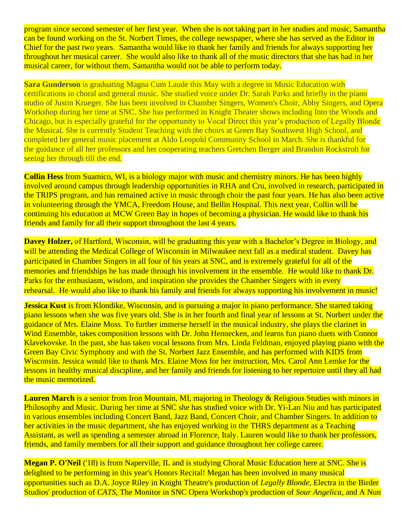program since second semester of her first year. When she is not taking part in her studies and music, Samantha can be found working on the St. Norbert Times, the college newspaper, where she has served as the Editor in Chief for the past two years. Samantha would like to thank her family and friends for always supporting her throughout her musical career. She would also like to thank all of the music directors that she has had in her musical career, for without them, Samantha would not be able to perform today.

**Sara Gunderson** is graduating Magna Cum Laude this May with a degree in Music Education with certifications in choral and general music. She studied voice under Dr. Sarah Parks and briefly in the piano studio of Justin Krueger. She has been involved in Chamber Singers, Women's Choir, Abby Singers, and Opera Workshop during her time at SNC. She has performed in Knight Theater shows including Into the Woods and Chicago, but is especially grateful for the opportunity to Vocal Direct this year's production of Legally Blonde the Musical. She is currently Student Teaching with the choirs at Green Bay Southwest High School, and completed her general music placement at Aldo Leopold Community School in March. She is thankful for the guidance of all her professors and her cooperating teachers Gretchen Berger and Brandon Rockstroh for seeing her through till the end.

**Collin Hess** from Suamico, WI, is a biology major with music and chemistry minors. He has been highly involved around campus through leadership opportunities in RHA and Cru, involved in research, participated in the TRIPS program, and has remained active in music through choir the past four years. He has also been active in volunteering through the YMCA, Freedom House, and Bellin Hospital. This next year, Collin will be continuing his education at MCW Green Bay in hopes of becoming a physician. He would like to thank his friends and family for all their support throughout the last 4 years.

**Davey Holzer,** of Hartford, Wisconsin, will be graduating this year with a Bachelor's Degree in Biology, and will be attending the Medical College of Wisconsin in Milwaukee next fall as a medical student. Davey has participated in Chamber Singers in all four of his years at SNC, and is extremely grateful for all of the memories and friendships he has made through his involvement in the ensemble. He would like to thank Dr. Parks for the enthusiasm, wisdom, and inspiration she provides the Chamber Singers with in every rehearsal. He would also like to thank his family and friends for always supporting his involvement in music!

**Jessica Kust** is from Klondike, Wisconsin, and is pursuing a major in piano performance. She started taking piano lessons when she was five years old. She is in her fourth and final year of lessons at St. Norbert under the guidance of Mrs. Elaine Moss. To further immerse herself in the musical industry, she plays the clarinet in Wind Ensemble, takes composition lessons with Dr. John Hennecken, and learns fun piano duets with Connor Klavekovske. In the past, she has taken vocal lessons from Mrs. Linda Feldman, enjoyed playing piano with the Green Bay Civic Symphony and with the St. Norbert Jazz Ensemble, and has performed with KIDS from Wisconsin. Jessica would like to thank Mrs. Elaine Moss for her instruction, Mrs. Carol Ann Lemke for the lessons in healthy musical discipline, and her family and friends for listening to her repertoire until they all had the music memorized.

**Lauren March** is a senior from Iron Mountain, MI, majoring in Theology & Religious Studies with minors in Philosophy and Music. During her time at SNC she has studied voice with Dr. Yi-Lan Niu and has participated in various ensembles including Concert Band, Jazz Band, Concert Choir, and Chamber Singers. In addition to her activities in the music department, she has enjoyed working in the THRS department as a Teaching Assistant, as well as spending a semester abroad in Florence, Italy. Lauren would like to thank her professors, friends, and family members for all their support and guidance throughout her college career.

**Megan P. O'Neil** ('18) is from Naperville, IL and is studying Choral Music Education here at SNC. She is delighted to be performing in this year's Honors Recital! Megan has been involved in many musical opportunities such as D.A. Joyce Riley in Knight Theatre's production of *Legally Blonde*, Electra in the Birder Studios' production of *CATS*, The Monitor in SNC Opera Workshop's production of *Sour Angelica*, and A Nun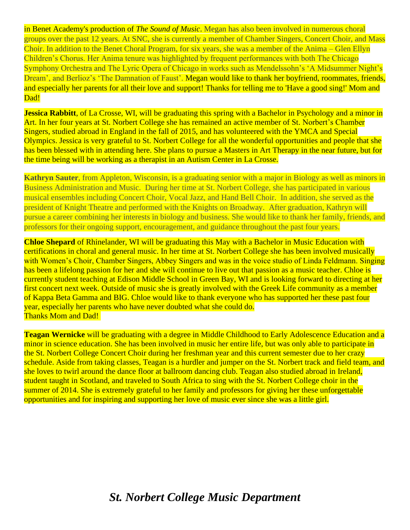in Benet Academy's production of *The Sound of Music*. Megan has also been involved in numerous choral groups over the past 12 years. At SNC, she is currently a member of Chamber Singers, Concert Choir, and Mass Choir. In addition to the Benet Choral Program, for six years, she was a member of the Anima – Glen Ellyn Children's Chorus. Her Anima tenure was highlighted by frequent performances with both The Chicago Symphony Orchestra and The Lyric Opera of Chicago in works such as Mendelssohn's 'A Midsummer Night's Dream', and Berlioz's 'The Damnation of Faust'. Megan would like to thank her boyfriend, roommates, friends, and especially her parents for all their love and support! Thanks for telling me to 'Have a good sing!' Mom and Dad!

**Jessica Rabbitt**, of La Crosse, WI, will be graduating this spring with a Bachelor in Psychology and a minor in Art. In her four years at St. Norbert College she has remained an active member of St. Norbert's Chamber Singers, studied abroad in England in the fall of 2015, and has volunteered with the YMCA and Special Olympics. Jessica is very grateful to St. Norbert College for all the wonderful opportunities and people that she has been blessed with in attending here. She plans to pursue a Masters in Art Therapy in the near future, but for the time being will be working as a therapist in an Autism Center in La Crosse.

**Kathryn Sauter**, from Appleton, Wisconsin, is a graduating senior with a major in Biology as well as minors in Business Administration and Music. During her time at St. Norbert College, she has participated in various musical ensembles including Concert Choir, Vocal Jazz, and Hand Bell Choir. In addition, she served as the president of Knight Theatre and performed with the Knights on Broadway. After graduation, Kathryn will pursue a career combining her interests in biology and business. She would like to thank her family, friends, and professors for their ongoing support, encouragement, and guidance throughout the past four years.

**Chloe Shepard** of Rhinelander, WI will be graduating this May with a Bachelor in Music Education with certifications in choral and general music. In her time at St. Norbert College she has been involved musically with Women's Choir, Chamber Singers, Abbey Singers and was in the voice studio of Linda Feldmann. Singing has been a lifelong passion for her and she will continue to live out that passion as a music teacher. Chloe is currently student teaching at Edison Middle School in Green Bay, WI and is looking forward to directing at her first concert next week. Outside of music she is greatly involved with the Greek Life community as a member of Kappa Beta Gamma and BIG. Chloe would like to thank everyone who has supported her these past four year, especially her parents who have never doubted what she could do. Thanks Mom and Dad!

**Teagan Wernicke** will be graduating with a degree in Middle Childhood to Early Adolescence Education and a minor in science education. She has been involved in music her entire life, but was only able to participate in the St. Norbert College Concert Choir during her freshman year and this current semester due to her crazy schedule. Aside from taking classes, Teagan is a hurdler and jumper on the St. Norbert track and field team, and she loves to twirl around the dance floor at ballroom dancing club. Teagan also studied abroad in Ireland, student taught in Scotland, and traveled to South Africa to sing with the St. Norbert College choir in the summer of 2014. She is extremely grateful to her family and professors for giving her these unforgettable opportunities and for inspiring and supporting her love of music ever since she was a little girl.

# *St. Norbert College Music Department*